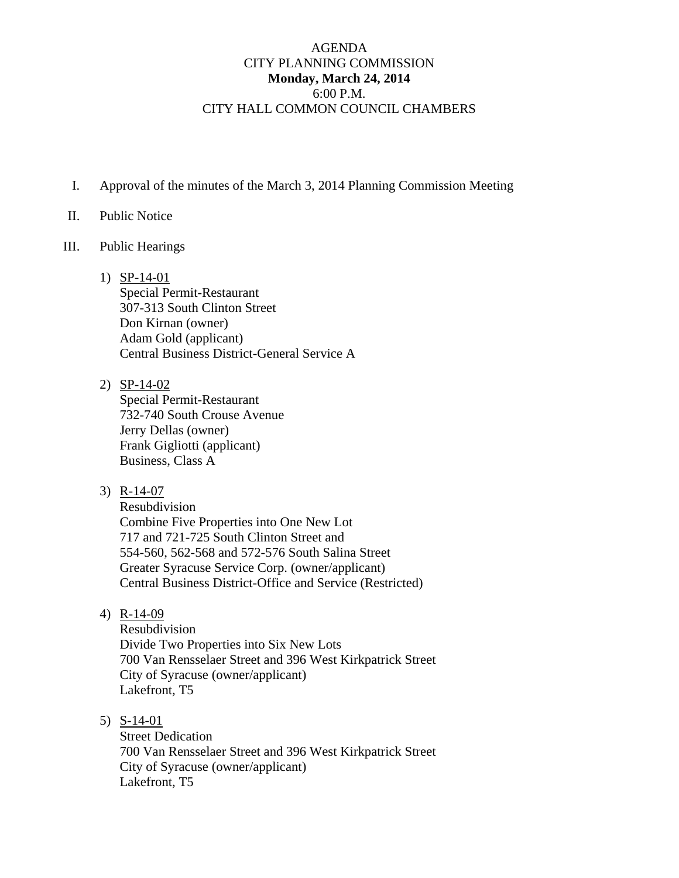## AGENDA CITY PLANNING COMMISSION **Monday, March 24, 2014**  6:00 P.M. CITY HALL COMMON COUNCIL CHAMBERS

I. Approval of the minutes of the March 3, 2014 Planning Commission Meeting

## II. Public Notice

## III. Public Hearings

- 1) SP-14-01 Special Permit-Restaurant 307-313 South Clinton Street Don Kirnan (owner) Adam Gold (applicant) Central Business District-General Service A
- 2) SP-14-02

Special Permit-Restaurant 732-740 South Crouse Avenue Jerry Dellas (owner) Frank Gigliotti (applicant) Business, Class A

3) R-14-07

Resubdivision Combine Five Properties into One New Lot 717 and 721-725 South Clinton Street and 554-560, 562-568 and 572-576 South Salina Street Greater Syracuse Service Corp. (owner/applicant) Central Business District-Office and Service (Restricted)

4) R-14-09

Resubdivision Divide Two Properties into Six New Lots 700 Van Rensselaer Street and 396 West Kirkpatrick Street City of Syracuse (owner/applicant) Lakefront, T5

5) S-14-01

Street Dedication 700 Van Rensselaer Street and 396 West Kirkpatrick Street City of Syracuse (owner/applicant) Lakefront, T5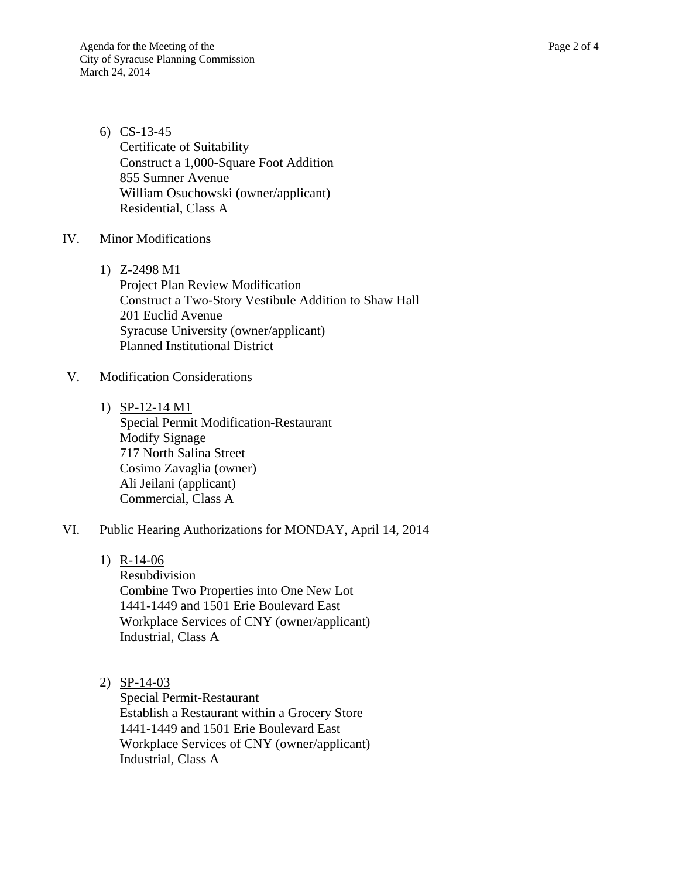6) CS-13-45 Certificate of Suitability Construct a 1,000-Square Foot Addition 855 Sumner Avenue William Osuchowski (owner/applicant) Residential, Class A

## IV. Minor Modifications

1) Z-2498 M1

Project Plan Review Modification Construct a Two-Story Vestibule Addition to Shaw Hall 201 Euclid Avenue Syracuse University (owner/applicant) Planned Institutional District

- V. Modification Considerations
	- 1) SP-12-14 M1 Special Permit Modification-Restaurant Modify Signage 717 North Salina Street Cosimo Zavaglia (owner) Ali Jeilani (applicant) Commercial, Class A
- VI. Public Hearing Authorizations for MONDAY, April 14, 2014
	- 1) R-14-06

Resubdivision Combine Two Properties into One New Lot 1441-1449 and 1501 Erie Boulevard East Workplace Services of CNY (owner/applicant) Industrial, Class A

2) SP-14-03

Special Permit-Restaurant Establish a Restaurant within a Grocery Store 1441-1449 and 1501 Erie Boulevard East Workplace Services of CNY (owner/applicant) Industrial, Class A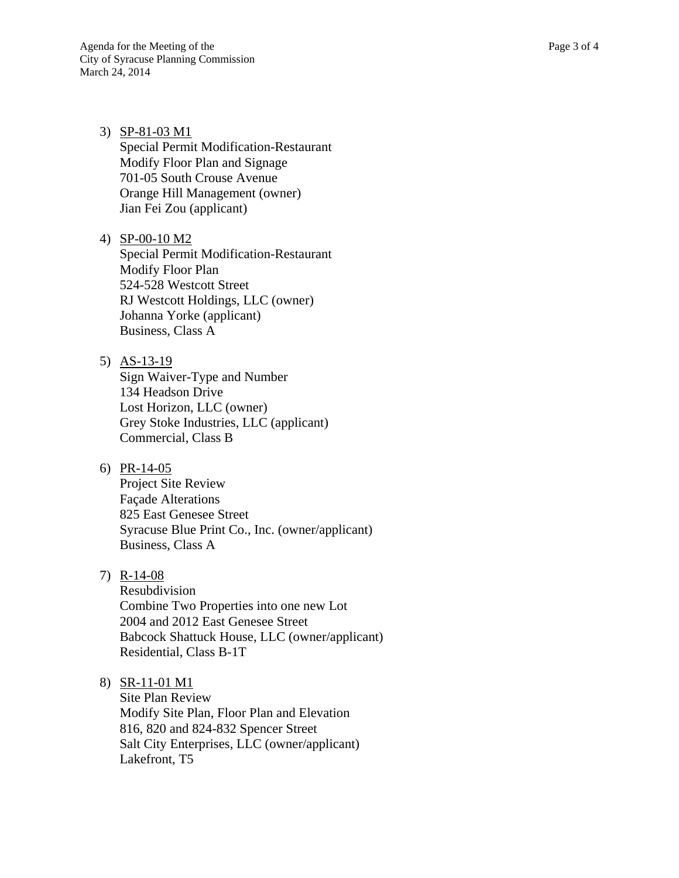3) SP-81-03 M1 Special Permit Modification-Restaurant Modify Floor Plan and Signage 701-05 South Crouse Avenue Orange Hill Management (owner) Jian Fei Zou (applicant)

4) SP-00-10 M2 Special Permit Modification-Restaurant Modify Floor Plan 524-528 Westcott Street RJ Westcott Holdings, LLC (owner) Johanna Yorke (applicant) Business, Class A

- 5) AS-13-19 Sign Waiver-Type and Number 134 Headson Drive Lost Horizon, LLC (owner) Grey Stoke Industries, LLC (applicant) Commercial, Class B
- 6) PR-14-05 Project Site Review Façade Alterations 825 East Genesee Street Syracuse Blue Print Co., Inc. (owner/applicant) Business, Class A
- 7) R-14-08

Resubdivision Combine Two Properties into one new Lot 2004 and 2012 East Genesee Street Babcock Shattuck House, LLC (owner/applicant) Residential, Class B-1T

8) SR-11-01 M1

Site Plan Review Modify Site Plan, Floor Plan and Elevation 816, 820 and 824-832 Spencer Street Salt City Enterprises, LLC (owner/applicant) Lakefront, T5